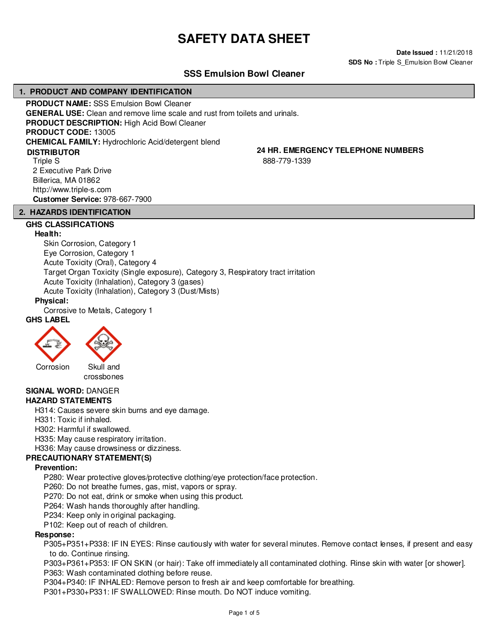# **SAFETY DATA SHEET**

**Date Issued :** 11/21/2018 **SDS No :** Triple S\_Emulsion Bowl Cleaner

# **SSS Emulsion Bowl Cleaner**

# **1. PRODUCT AND COMPANY IDENTIFICATION**

**PRODUCT NAME:** SSS Emulsion Bowl Cleaner **GENERAL USE:** Clean and remove lime scale and rust from toilets and urinals. **PRODUCT DESCRIPTION:** High Acid Bowl Cleaner **PRODUCT CODE:** 13005 **CHEMICAL FAMILY:** Hydrochloric Acid/detergent blend Triple S 2 Executive Park Drive Billerica, MA 01862 **DISTRIBUTOR**

**24 HR. EMERGENCY TELEPHONE NUMBERS**

888-779-1339

# **2. HAZARDS IDENTIFICATION**

**Customer Service:** 978-667-7900

http://www.triple-s.com

# **GHS CLASSIFICATIONS**

### **Health:**

Skin Corrosion, Category 1 Eye Corrosion, Category 1 Acute Toxicity (Oral), Category 4 Target Organ Toxicity (Single exposure), Category 3, Respiratory tract irritation Acute Toxicity (Inhalation), Category 3 (gases) Acute Toxicity (Inhalation), Category 3 (Dust/Mists)

### **Physical:**

Corrosive to Metals, Category 1

# **GHS LABEL**





crossbones

#### **SIGNAL WORD:** DANGER **HAZARD STATEMENTS**

H314: Causes severe skin burns and eye damage.

H331: Toxic if inhaled.

H302: Harmful if swallowed.

H335: May cause respiratory irritation.

H336: May cause drowsiness or dizziness.

# **PRECAUTIONARY STATEMENT(S)**

# **Prevention:**

P280: Wear protective gloves/protective clothing/eye protection/face protection.

P260: Do not breathe fumes, gas, mist, vapors or spray.

P270: Do not eat, drink or smoke when using this product.

P264: Wash hands thoroughly after handling.

P234: Keep only in original packaging.

P102: Keep out of reach of children.

# **Response:**

P305+P351+P338: IF IN EYES: Rinse cautiously with water for several minutes. Remove contact lenses, if present and easy to do. Continue rinsing.

P303+P361+P353: IF ON SKIN (or hair): Take off immediately all contaminated clothing. Rinse skin with water [or shower]. P363: Wash contaminated clothing before reuse.

P304+P340: IF INHALED: Remove person to fresh air and keep comfortable for breathing.

P301+P330+P331: IF SWALLOWED: Rinse mouth. Do NOT induce vomiting.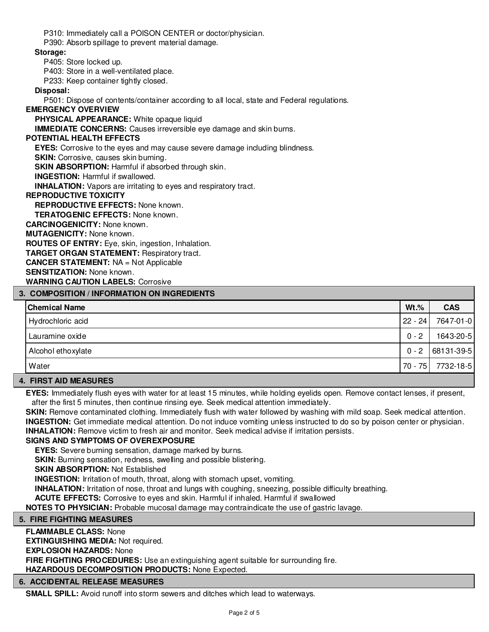P310: Immediately call a POISON CENTER or doctor/physician.

P390: Absorb spillage to prevent material damage.

# **Storage:**

P405: Store locked up.

P403: Store in a well-ventilated place.

P233: Keep container tightly closed.

# **Disposal:**

P501: Dispose of contents/container according to all local, state and Federal regulations.

# **EMERGENCY OVERVIEW**

**PHYSICAL APPEARANCE:** White opaque liquid

**IMMEDIATE CONCERNS:** Causes irreversible eye damage and skin burns.

# **POTENTIAL HEALTH EFFECTS**

**EYES:** Corrosive to the eyes and may cause severe damage including blindness.

**SKIN:** Corrosive, causes skin burning.

**SKIN ABSORPTION:** Harmful if absorbed through skin.

**INGESTION:** Harmful if swallowed.

**INHALATION:** Vapors are irritating to eyes and respiratory tract.

# **REPRODUCTIVE TOXICITY**

**REPRODUCTIVE EFFECTS:** None known.

**TERATOGENIC EFFECTS:** None known.

**CARCINOGENICITY:** None known.

**MUTAGENICITY:** None known.

**ROUTES OF ENTRY:** Eye, skin, ingestion, Inhalation.

**TARGET ORGAN STATEMENT:** Respiratory tract.

**CANCER STATEMENT:** NA = Not Applicable

**SENSITIZATION:** None known.

**WARNING CAUTION LABELS:** Corrosive

# **3. COMPOSITION / INFORMATION ON INGREDIENTS**

| <b>Chemical Name</b> | $Wt.\%$   | <b>CAS</b>     |
|----------------------|-----------|----------------|
| Hydrochloric acid    | $22 - 24$ | 7647-01-0      |
| Lauramine oxide      | $0 - 2$   | 1643-20-5      |
| Alcohol ethoxylate   | $0 - 2$   | $ 68131-39-5 $ |
| Water                | $70 - 75$ | 7732-18-5      |

# **4. FIRST AID MEASURES**

**EYES:** Immediately flush eyes with water for at least 15 minutes, while holding eyelids open. Remove contact lenses, if present, after the first 5 minutes, then continue rinsing eye. Seek medical attention immediately.

SKIN: Remove contaminated clothing. Immediately flush with water followed by washing with mild soap. Seek medical attention. **INGESTION:** Get immediate medical attention. Do not induce vomiting unless instructed to do so by poison center or physician. **INHALATION:** Remove victim to fresh air and monitor. Seek medical advise if irritation persists.

# **SIGNS AND SYMPTOMS OF OVEREXPOSURE**

**EYES:** Severe burning sensation, damage marked by burns.

**SKIN:** Burning sensation, redness, swelling and possible blistering.

**SKIN ABSORPTION: Not Established** 

**INGESTION:** Irritation of mouth, throat, along with stomach upset, vomiting.

**INHALATION:** Irritation of nose, throat and lungs with coughing, sneezing, possible difficulty breathing.

**ACUTE EFFECTS:** Corrosive to eyes and skin. Harmful if inhaled. Harmful if swallowed

**NOTES TO PHYSICIAN:** Probable mucosal damage may contraindicate the use of gastric lavage.

# **5. FIRE FIGHTING MEASURES**

**FLAMMABLE CLASS:** None **EXTINGUISHING MEDIA:** Not required. **EXPLOSION HAZARDS:** None **FIRE FIGHTING PROCEDURES:** Use an extinguishing agent suitable for surrounding fire. **HAZARDOUS DECOMPOSITION PRODUCTS:** None Expected.

# **6. ACCIDENTAL RELEASE MEASURES**

**SMALL SPILL:** Avoid runoff into storm sewers and ditches which lead to waterways.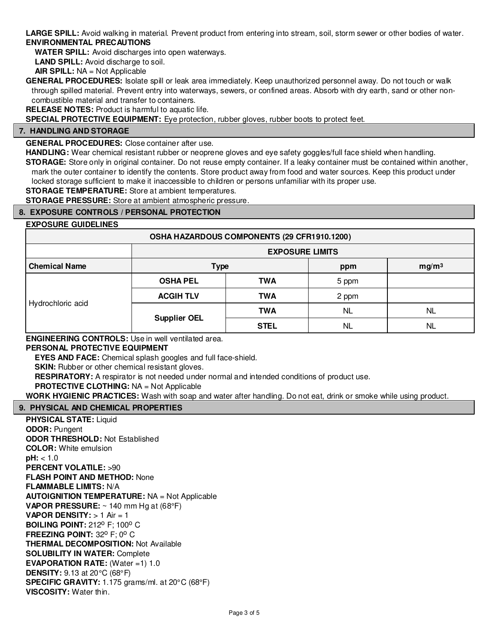**LARGE SPILL:** Avoid walking in material. Prevent product from entering into stream, soil, storm sewer or other bodies of water. **ENVIRONMENTAL PRECAUTIONS**

**WATER SPILL:** Avoid discharges into open waterways.

**LAND SPILL:** Avoid discharge to soil.

**AIR SPILL:** NA = Not Applicable

**GENERAL PROCEDURES:** Isolate spill or leak area immediately. Keep unauthorized personnel away. Do not touch or walk through spilled material. Prevent entry into waterways, sewers, or confined areas. Absorb with dry earth, sand or other noncombustible material and transfer to containers.

**RELEASE NOTES:** Product is harmful to aquatic life.

**SPECIAL PROTECTIVE EQUIPMENT:** Eye protection, rubber gloves, rubber boots to protect feet.

# **7. HANDLING AND STORAGE**

**GENERAL PROCEDURES:** Close container after use.

**HANDLING:** Wear chemical resistant rubber or neoprene gloves and eye safety goggles/full face shield when handling. **STORAGE:** Store only in original container. Do not reuse empty container. If a leaky container must be contained within another, mark the outer container to identify the contents. Store product away from food and water sources. Keep this product under

locked storage sufficient to make it inaccessible to children or persons unfamiliar with its proper use.

**STORAGE TEMPERATURE:** Store at ambient temperatures.

**STORAGE PRESSURE:** Store at ambient atmospheric pressure.

# **8. EXPOSURE CONTROLS / PERSONAL PROTECTION**

# **EXPOSURE GUIDELINES**

| LAI VUUIL UUIDLLIITLU |                        |                                             |           |                   |
|-----------------------|------------------------|---------------------------------------------|-----------|-------------------|
|                       |                        | OSHA HAZARDOUS COMPONENTS (29 CFR1910.1200) |           |                   |
|                       | <b>EXPOSURE LIMITS</b> |                                             |           |                   |
| <b>Chemical Name</b>  | <b>Type</b>            |                                             | ppm       | mg/m <sup>3</sup> |
| Hydrochloric acid     | <b>OSHA PEL</b>        | <b>TWA</b>                                  | 5 ppm     |                   |
|                       | <b>ACGIH TLV</b>       | <b>TWA</b>                                  | 2 ppm     |                   |
|                       | <b>Supplier OEL</b>    | <b>TWA</b>                                  | <b>NL</b> | <b>NL</b>         |
|                       |                        | <b>STEL</b>                                 | <b>NL</b> | <b>NL</b>         |

**ENGINEERING CONTROLS:** Use in well ventilated area.

# **PERSONAL PROTECTIVE EQUIPMENT**

**EYES AND FACE:** Chemical splash googles and full face-shield.

**SKIN:** Rubber or other chemical resistant gloves.

**RESPIRATORY:** A respirator is not needed under normal and intended conditions of product use.

**PROTECTIVE CLOTHING:** NA = Not Applicable

**WORK HYGIENIC PRACTICES:** Wash with soap and water after handling. Do not eat, drink or smoke while using product.

# **9. PHYSICAL AND CHEMICAL PROPERTIES**

**PHYSICAL STATE:** Liquid **ODOR:** Pungent **ODOR THRESHOLD:** Not Established **COLOR:** White emulsion **pH:** < 1.0 **PERCENT VOLATILE:** >90 **FLASH POINT AND METHOD:** None **FLAMMABLE LIMITS:** N/A **AUTOIGNITION TEMPERATURE:** NA = Not Applicable **VAPOR PRESSURE:** ~ 140 mm Hg at (68°F) **VAPOR DENSITY:** > 1 Air = 1 **BOILING POINT: 212° F: 100° C FREEZING POINT: 32° F: 0° C THERMAL DECOMPOSITION:** Not Available **SOLUBILITY IN WATER:** Complete **EVAPORATION RATE:** (Water =1) 1.0 **DENSITY:** 9.13 at 20°C (68°F) **SPECIFIC GRAVITY:** 1.175 grams/ml. at 20°C (68°F) **VISCOSITY:** Water thin.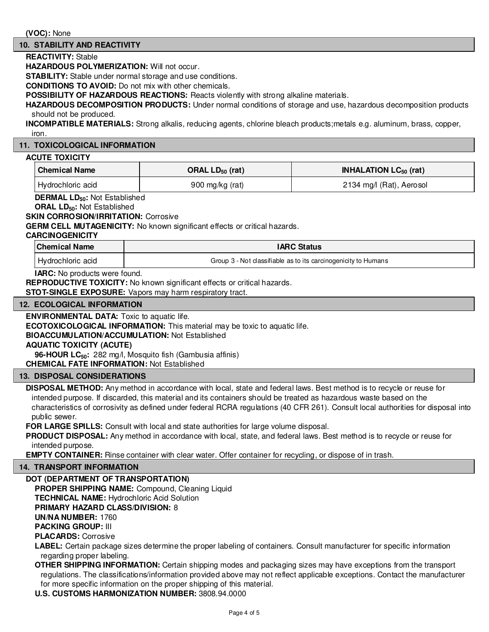### **10. STABILITY AND REACTIVITY**

#### **REACTIVITY:** Stable

**HAZARDOUS POLYMERIZATION:** Will not occur.

**STABILITY:** Stable under normal storage and use conditions.

**CONDITIONS TO AVOID:** Do not mix with other chemicals.

**POSSIBILITY OF HAZARDOUS REACTIONS:** Reacts violently with strong alkaline materials.

**HAZARDOUS DECOMPOSITION PRODUCTS:** Under normal conditions of storage and use, hazardous decomposition products should not be produced.

**INCOMPATIBLE MATERIALS:** Strong alkalis, reducing agents, chlorine bleach products;metals e.g. aluminum, brass, copper, iron.

#### **11. TOXICOLOGICAL INFORMATION**

#### **ACUTE TOXICITY**

| <b>Chemical Name</b> | ORAL $LD_{50}$ (rat) | <b>INHALATION LC<math>_{50}</math> (rat)</b> |
|----------------------|----------------------|----------------------------------------------|
| Hydrochloric acid    | 900 mg/kg $(rat)$    | 2134 mg/l (Rat), Aerosol                     |

**DERMAL LD50:** Not Established

**ORAL LD50:** Not Established

#### **SKIN CORROSION/IRRITATION: Corrosive**

**GERM CELL MUTAGENICITY:** No known significant effects or critical hazards.

**CARCINOGENICITY**

| <b>Chemical Name</b> | <b>IARC Status</b>                                             |  |
|----------------------|----------------------------------------------------------------|--|
| Hydrochloric acid    | Group 3 - Not classifiable as to its carcinogenicity to Humans |  |

**IARC:** No products were found.

**REPRODUCTIVE TOXICITY:** No known significant effects or critical hazards.

**STOT-SINGLE EXPOSURE:** Vapors may harm respiratory tract.

#### **12. ECOLOGICAL INFORMATION**

**ENVIRONMENTAL DATA:** Toxic to aquatic life.

**ECOTOXICOLOGICAL INFORMATION:** This material may be toxic to aquatic life.

**BIOACCUMULATION/ACCUMULATION:** Not Established

# **AQUATIC TOXICITY (ACUTE)**

**96-HOUR LC50:** 282 mg/l, Mosquito fish (Gambusia affinis)

**CHEMICAL FATE INFORMATION:** Not Established

# **13. DISPOSAL CONSIDERATIONS**

**DISPOSAL METHOD:** Any method in accordance with local, state and federal laws. Best method is to recycle or reuse for intended purpose. If discarded, this material and its containers should be treated as hazardous waste based on the characteristics of corrosivity as defined under federal RCRA regulations (40 CFR 261). Consult local authorities for disposal into public sewer.

**FOR LARGE SPILLS:** Consult with local and state authorities for large volume disposal.

**PRODUCT DISPOSAL:** Any method in accordance with local, state, and federal laws. Best method is to recycle or reuse for intended purpose.

**EMPTY CONTAINER:** Rinse container with clear water. Offer container for recycling, or dispose of in trash.

#### **14. TRANSPORT INFORMATION**

# **DOT (DEPARTMENT OF TRANSPORTATION)**

**PROPER SHIPPING NAME:** Compound, Cleaning Liquid **TECHNICAL NAME:** Hydrochloric Acid Solution

**PRIMARY HAZARD CLASS/DIVISION:** 8

**UN/NA NUMBER:** 1760

**PACKING GROUP:** III

**PLACARDS:** Corrosive

**LABEL:** Certain package sizes determine the proper labeling of containers. Consult manufacturer for specific information regarding proper labeling.

**OTHER SHIPPING INFORMATION:** Certain shipping modes and packaging sizes may have exceptions from the transport regulations. The classifications/information provided above may not reflect applicable exceptions. Contact the manufacturer for more specific information on the proper shipping of this material.

**U.S. CUSTOMS HARMONIZATION NUMBER:** 3808.94.0000